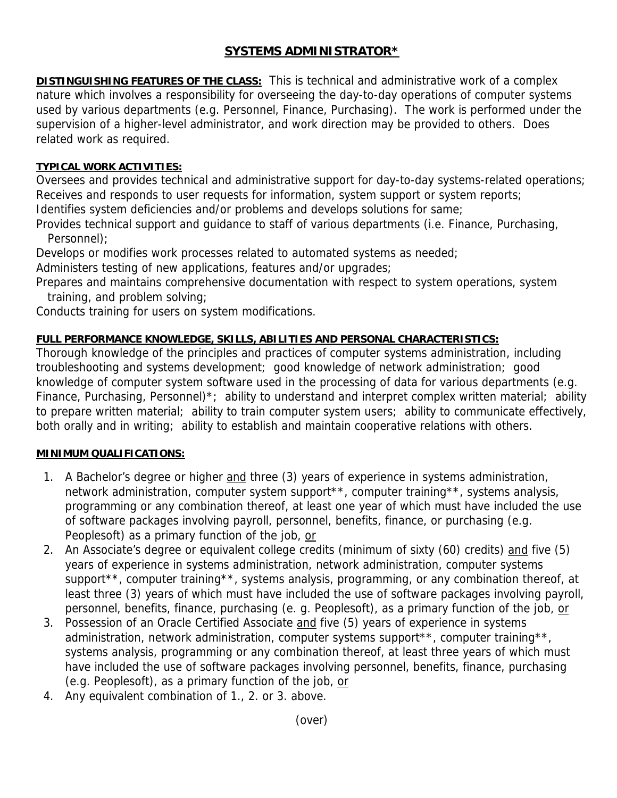# **SYSTEMS ADMINISTRATOR\***

**DISTINGUISHING FEATURES OF THE CLASS:** This is technical and administrative work of a complex nature which involves a responsibility for overseeing the day-to-day operations of computer systems used by various departments (e.g. Personnel, Finance, Purchasing). The work is performed under the supervision of a higher-level administrator, and work direction may be provided to others. Does related work as required.

## **TYPICAL WORK ACTIVITIES:**

Oversees and provides technical and administrative support for day-to-day systems-related operations; Receives and responds to user requests for information, system support or system reports; Identifies system deficiencies and/or problems and develops solutions for same;

Provides technical support and guidance to staff of various departments (i.e. Finance, Purchasing, Personnel);

Develops or modifies work processes related to automated systems as needed;

Administers testing of new applications, features and/or upgrades;

Prepares and maintains comprehensive documentation with respect to system operations, system training, and problem solving;

Conducts training for users on system modifications.

## **FULL PERFORMANCE KNOWLEDGE, SKILLS, ABILITIES AND PERSONAL CHARACTERISTICS:**

Thorough knowledge of the principles and practices of computer systems administration, including troubleshooting and systems development; good knowledge of network administration; good knowledge of computer system software used in the processing of data for various departments (e.g. Finance, Purchasing, Personnel)\*; ability to understand and interpret complex written material; ability to prepare written material; ability to train computer system users; ability to communicate effectively, both orally and in writing; ability to establish and maintain cooperative relations with others.

#### **MINIMUM QUALIFICATIONS:**

- 1. A Bachelor's degree or higher and three (3) years of experience in systems administration, network administration, computer system support\*\*, computer training\*\*, systems analysis, programming or any combination thereof, at least one year of which must have included the use of software packages involving payroll, personnel, benefits, finance, or purchasing (e.g. Peoplesoft) as a primary function of the job, or
- 2. An Associate's degree or equivalent college credits (minimum of sixty (60) credits) and five (5) years of experience in systems administration, network administration, computer systems support\*\*, computer training\*\*, systems analysis, programming, or any combination thereof, at least three (3) years of which must have included the use of software packages involving payroll, personnel, benefits, finance, purchasing (e. g. Peoplesoft), as a primary function of the job, or
- 3. Possession of an Oracle Certified Associate and five (5) years of experience in systems administration, network administration, computer systems support<sup>\*\*</sup>, computer training<sup>\*\*</sup>, systems analysis, programming or any combination thereof, at least three years of which must have included the use of software packages involving personnel, benefits, finance, purchasing (e.g. Peoplesoft), as a primary function of the job, or
- 4. Any equivalent combination of 1., 2. or 3. above.